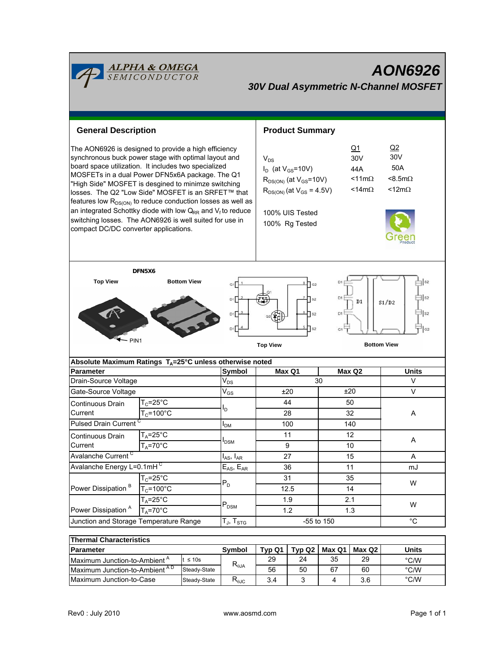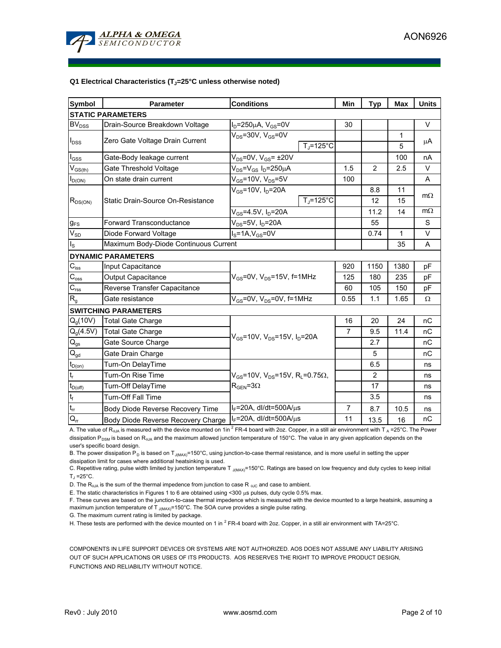

### Q1 Electrical Characteristics (T<sub>J</sub>=25°C unless otherwise noted)

| <b>Symbol</b>            | <b>Parameter</b>                      | <b>Conditions</b>                                                                           |                       | Min            | <b>Typ</b>     | Max          | <b>Units</b> |  |  |  |  |  |
|--------------------------|---------------------------------------|---------------------------------------------------------------------------------------------|-----------------------|----------------|----------------|--------------|--------------|--|--|--|--|--|
| <b>STATIC PARAMETERS</b> |                                       |                                                                                             |                       |                |                |              |              |  |  |  |  |  |
| <b>BV</b> <sub>DSS</sub> | Drain-Source Breakdown Voltage        | $I_D = 250 \mu A$ , $V_{GS} = 0V$                                                           |                       | 30             |                |              | V            |  |  |  |  |  |
| $I_{DSS}$                | Zero Gate Voltage Drain Current       | $V_{DS}$ =30V, $V_{GS}$ =0V                                                                 |                       |                |                | $\mathbf{1}$ | μA           |  |  |  |  |  |
|                          |                                       |                                                                                             | $TJ=125°C$            |                |                | 5            |              |  |  |  |  |  |
| $I_{GSS}$                | Gate-Body leakage current             | $V_{DS}$ =0V, $V_{GS}$ = ±20V                                                               |                       |                |                | 100          | nA           |  |  |  |  |  |
| $V_{GS(th)}$             | Gate Threshold Voltage                | $V_{DS} = V_{GS} I_D = 250 \mu A$                                                           |                       | 1.5            | 2              | 2.5          | V            |  |  |  |  |  |
| $I_{D(ON)}$              | On state drain current                | $V_{GS}$ =10V, $V_{DS}$ =5V                                                                 |                       | 100            |                |              | A            |  |  |  |  |  |
| $R_{DS(ON)}$             | Static Drain-Source On-Resistance     | $V_{GS}$ =10V, $I_D$ =20A                                                                   |                       |                | 8.8            | 11           |              |  |  |  |  |  |
|                          |                                       |                                                                                             | $T_i = 125^{\circ}$ C |                | 12             | 15           | $m\Omega$    |  |  |  |  |  |
|                          |                                       | $V_{GS}$ =4.5V, $I_D$ =20A                                                                  |                       |                | 11.2           | 14           | $m\Omega$    |  |  |  |  |  |
| $g_{FS}$                 | Forward Transconductance              | V <sub>DS</sub> =5V, I <sub>D</sub> =20A                                                    |                       |                | 55             |              | S            |  |  |  |  |  |
| $V_{SD}$                 | Diode Forward Voltage                 | $I_S = 1A$ , $V_{GS} = 0V$                                                                  |                       |                | 0.74           | $\mathbf{1}$ | V            |  |  |  |  |  |
| ls                       | Maximum Body-Diode Continuous Current |                                                                                             |                       |                | 35             | A            |              |  |  |  |  |  |
|                          | <b>DYNAMIC PARAMETERS</b>             |                                                                                             |                       |                |                |              |              |  |  |  |  |  |
| $C_{\text{iss}}$         | Input Capacitance                     | $V_{GS}$ =0V, $V_{DS}$ =15V, f=1MHz<br>$V_{GS}$ =0V, $V_{DS}$ =0V, f=1MHz                   |                       | 920            | 1150           | 1380         | pF           |  |  |  |  |  |
| $C_{\rm oss}$            | Output Capacitance                    |                                                                                             |                       | 125            | 180            | 235          | рF           |  |  |  |  |  |
| $C_{\rm rss}$            | Reverse Transfer Capacitance          |                                                                                             |                       | 60             | 105            | 150          | рF           |  |  |  |  |  |
| $R_{g}$                  | Gate resistance                       |                                                                                             |                       | 0.55           | 1.1            | 1.65         | Ω            |  |  |  |  |  |
|                          | <b>SWITCHING PARAMETERS</b>           |                                                                                             |                       |                |                |              |              |  |  |  |  |  |
| $Q_g(10V)$               | <b>Total Gate Charge</b>              | $V_{GS}$ =10V, $V_{DS}$ =15V, $I_D$ =20A                                                    |                       | 16             | 20             | 24           | nC           |  |  |  |  |  |
| $Q_{g}(4.5V)$            | <b>Total Gate Charge</b>              |                                                                                             |                       | $\overline{7}$ | 9.5            | 11.4         | nC           |  |  |  |  |  |
| $\mathsf{Q}_{\text{gs}}$ | Gate Source Charge                    |                                                                                             |                       |                | 2.7            |              | nC           |  |  |  |  |  |
| $\mathsf{Q}_{\text{gd}}$ | Gate Drain Charge                     |                                                                                             |                       |                | 5              |              | nC           |  |  |  |  |  |
| $t_{D(on)}$              | Turn-On DelayTime                     |                                                                                             |                       |                | 6.5            |              | ns           |  |  |  |  |  |
| $t_r$                    | Turn-On Rise Time                     | $V_{GS}$ =10V, $V_{DS}$ =15V, R <sub>L</sub> =0.75 $\Omega$ ,<br>$R_{\text{GEN}} = 3\Omega$ |                       |                | $\overline{2}$ |              | ns           |  |  |  |  |  |
| $t_{D(off)}$             | Turn-Off DelayTime                    |                                                                                             |                       |                | 17             |              | ns           |  |  |  |  |  |
| $t_f$                    | <b>Turn-Off Fall Time</b>             |                                                                                             |                       |                | 3.5            |              | ns           |  |  |  |  |  |
| $t_{rr}$                 | Body Diode Reverse Recovery Time      | $I_F$ =20A, dl/dt=500A/ $\mu$ s                                                             |                       | 7              | 8.7            | 10.5         | ns           |  |  |  |  |  |
| $Q_{rr}$                 | Body Diode Reverse Recovery Charge    | $I_F$ =20A, dl/dt=500A/ $\mu$ s                                                             |                       | 11             | 13.5           | 16           | nC           |  |  |  |  |  |

A. The value of R<sub>0JA</sub> is measured with the device mounted on 1in<sup>2</sup> FR-4 board with 2oz. Copper, in a still air environment with T<sub>A</sub> =25°C. The Power dissipation P<sub>DSM</sub> is based on R<sub>0JA</sub> and the maximum allowed junction temperature of 150°C. The value in any given application depends on the user's specific board design.

B. The power dissipation P<sub>D</sub> is based on T<sub>J(MAX)</sub>=150°C, using junction-to-case thermal resistance, and is more useful in setting the upper dissipation limit for cases where additional heatsinking is used.

C. Repetitive rating, pulse width limited by junction temperature T  $_{J(MAX)}$ =150°C. Ratings are based on low frequency and duty cycles to keep initial  $T_1 = 25^{\circ}C$ .

D. The  $R_{0JA}$  is the sum of the thermal impedence from junction to case R  $_{0JC}$  and case to ambient.

E. The static characteristics in Figures 1 to 6 are obtained using <300 µs pulses, duty cycle 0.5% max.

F. These curves are based on the junction-to-case thermal impedence which is measured with the device mounted to a large heatsink, assuming a maximum junction temperature of T  $_{J(MAX)}$ =150°C. The SOA curve provides a single pulse rating.

G. The maximum current rating is limited by package.

H. These tests are performed with the device mounted on 1 in  $2$  FR-4 board with 2oz. Copper, in a still air environment with TA=25°C.

COMPONENTS IN LIFE SUPPORT DEVICES OR SYSTEMS ARE NOT AUTHORIZED. AOS DOES NOT ASSUME ANY LIABILITY ARISING OUT OF SUCH APPLICATIONS OR USES OF ITS PRODUCTS. AOS RESERVES THE RIGHT TO IMPROVE PRODUCT DESIGN, FUNCTIONS AND RELIABILITY WITHOUT NOTICE.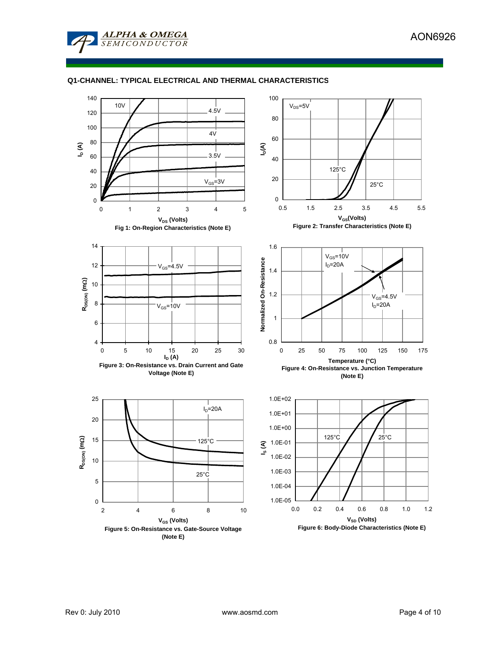

# **Q1-CHANNEL: TYPICAL ELECTRICAL AND THERMAL CHARACTERISTICS**

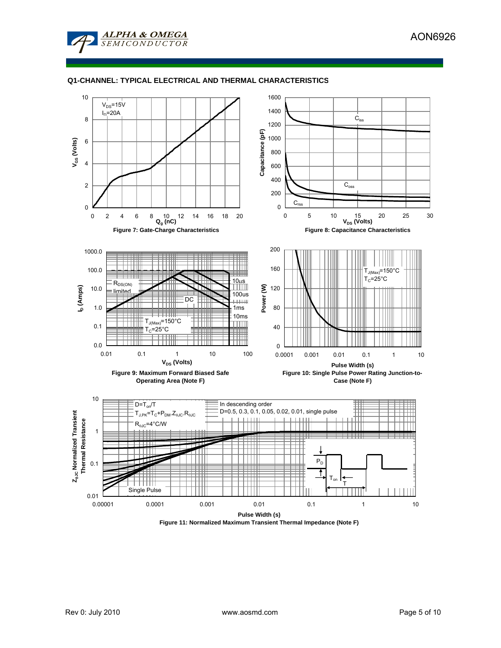

## **Q1-CHANNEL: TYPICAL ELECTRICAL AND THERMAL CHARACTERISTICS**



**Figure 11: Normalized Maximum Transient Thermal Impedance (Note F)**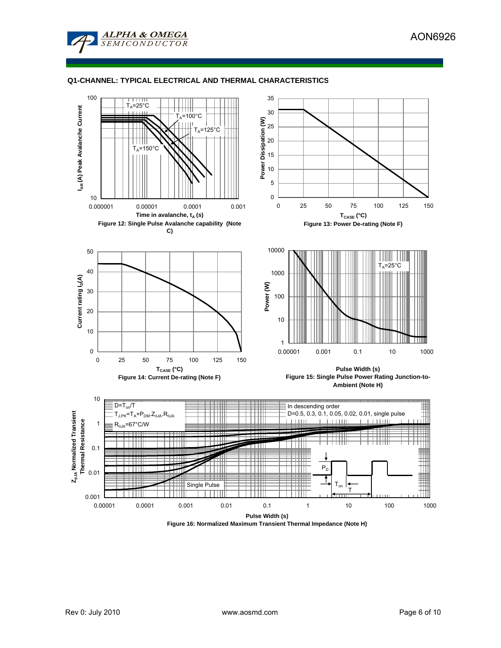

# **Q1-CHANNEL: TYPICAL ELECTRICAL AND THERMAL CHARACTERISTICS**

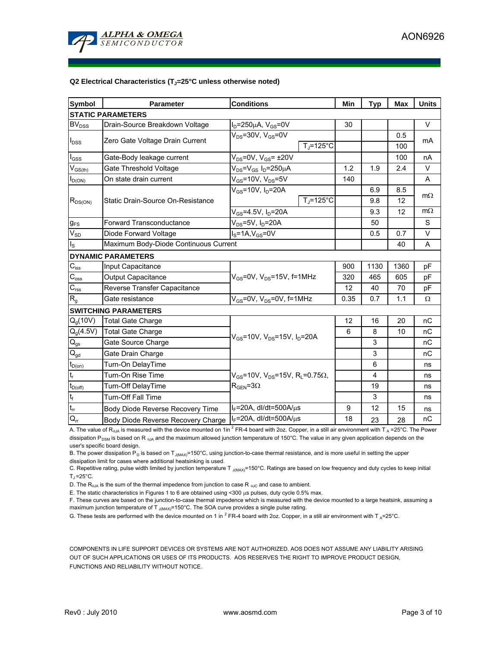

### Q2 Electrical Characteristics (T<sub>J</sub>=25°C unless otherwise noted)

| <b>Symbol</b>            | Parameter                             | <b>Conditions</b>                                                                           |                    | Min  | <b>Typ</b> | <b>Max</b> | <b>Units</b> |  |  |  |  |
|--------------------------|---------------------------------------|---------------------------------------------------------------------------------------------|--------------------|------|------------|------------|--------------|--|--|--|--|
| <b>STATIC PARAMETERS</b> |                                       |                                                                                             |                    |      |            |            |              |  |  |  |  |
| <b>BV<sub>DSS</sub></b>  | Drain-Source Breakdown Voltage        | $I_D = 250 \mu A$ , $V_{GS} = 0V$                                                           |                    | 30   |            |            | V            |  |  |  |  |
| $I_{DSS}$                | Zero Gate Voltage Drain Current       | $V_{DS}$ =30V, $V_{GS}$ =0V                                                                 |                    |      |            | 0.5        | mA           |  |  |  |  |
|                          |                                       |                                                                                             | $T_{\rm J}$ =125°C |      |            | 100        |              |  |  |  |  |
| $I_{\rm GSS}$            | Gate-Body leakage current             | $V_{DS}$ =0V, $V_{GS}$ = ±20V                                                               |                    |      |            | 100        | nA           |  |  |  |  |
| $V_{GS(th)}$             | Gate Threshold Voltage                | $V_{DS} = V_{GS} I_D = 250 \mu A$                                                           |                    | 1.2  | 1.9        | 2.4        | V            |  |  |  |  |
| $I_{D(ON)}$              | On state drain current                | $V_{GS}$ =10V, $V_{DS}$ =5V                                                                 |                    | 140  |            |            | A            |  |  |  |  |
| $R_{DS(ON)}$             | Static Drain-Source On-Resistance     | $V_{GS}$ =10V, $I_D$ =20A                                                                   |                    |      | 6.9        | 8.5        |              |  |  |  |  |
|                          |                                       |                                                                                             | $T_i = 125$ °C     |      | 9.8        | 12         | $m\Omega$    |  |  |  |  |
|                          |                                       | $V_{GS}$ =4.5V, $I_D$ =20A                                                                  |                    |      | 9.3        | 12         | $m\Omega$    |  |  |  |  |
| $g_{FS}$                 | <b>Forward Transconductance</b>       | $V_{DS}$ =5V, I <sub>D</sub> =20A                                                           |                    |      | 50         |            | S            |  |  |  |  |
| $V_{SD}$                 | Diode Forward Voltage                 | $IS=1A, VGS=0V$                                                                             |                    |      | 0.5        | 0.7        | V            |  |  |  |  |
| $I_{\rm S}$              | Maximum Body-Diode Continuous Current |                                                                                             |                    |      |            | 40         | A            |  |  |  |  |
|                          | <b>DYNAMIC PARAMETERS</b>             |                                                                                             |                    |      |            |            |              |  |  |  |  |
| $C_{\text{iss}}$         | Input Capacitance                     | $V_{GS}$ =0V, $V_{DS}$ =15V, f=1MHz<br>$V_{GS}$ =0V, V <sub>DS</sub> =0V, f=1MHz            |                    | 900  | 1130       | 1360       | pF           |  |  |  |  |
| $C_{\rm oss}$            | Output Capacitance                    |                                                                                             |                    | 320  | 465        | 605        | рF           |  |  |  |  |
| $C_{\rm rss}$            | Reverse Transfer Capacitance          |                                                                                             |                    | 12   | 40         | 70         | pF           |  |  |  |  |
| $R_g$                    | Gate resistance                       |                                                                                             |                    | 0.35 | 0.7        | 1.1        | Ω            |  |  |  |  |
|                          | <b>SWITCHING PARAMETERS</b>           |                                                                                             |                    |      |            |            |              |  |  |  |  |
| $Q_q(10V)$               | <b>Total Gate Charge</b>              | $V_{GS}$ =10V, $V_{DS}$ =15V, $I_D$ =20A                                                    |                    | 12   | 16         | 20         | nC           |  |  |  |  |
| $Q_g(4.5V)$              | <b>Total Gate Charge</b>              |                                                                                             |                    | 6    | 8          | 10         | nC           |  |  |  |  |
| $\mathsf{Q}_{\text{gs}}$ | Gate Source Charge                    |                                                                                             |                    |      | 3          |            | nC           |  |  |  |  |
| $\mathsf{Q}_{\text{gd}}$ | Gate Drain Charge                     |                                                                                             |                    |      | 3          |            | nC           |  |  |  |  |
| $t_{D(on)}$              | Turn-On DelayTime                     |                                                                                             |                    |      | 6          |            | ns           |  |  |  |  |
| $t_r$                    | Turn-On Rise Time                     | $V_{GS}$ =10V, $V_{DS}$ =15V, R <sub>L</sub> =0.75 $\Omega$ ,<br>$R_{\text{GEN}} = 3\Omega$ |                    |      | 4          |            | ns           |  |  |  |  |
| $t_{D(off)}$             | Turn-Off DelayTime                    |                                                                                             |                    |      | 19         |            | ns           |  |  |  |  |
| $t_f$                    | <b>Turn-Off Fall Time</b>             |                                                                                             |                    |      | 3          |            | ns           |  |  |  |  |
| $t_{rr}$                 | Body Diode Reverse Recovery Time      | $I_F$ =20A, dl/dt=500A/ $\mu$ s                                                             |                    | 9    | 12         | 15         | ns           |  |  |  |  |
| $Q_{rr}$                 | Body Diode Reverse Recovery Charge    | $I_F$ =20A, dl/dt=500A/ $\mu$ s                                                             |                    | 18   | 23         | 28         | nC           |  |  |  |  |

A. The value of R<sub>0JA</sub> is measured with the device mounted on 1in <sup>2</sup> FR-4 board with 2oz. Copper, in a still air environment with T<sub>A</sub> =25°C. The Power dissipation P<sub>DSM</sub> is based on R  $_{0,0,0}$  and the maximum allowed junction temperature of 150°C. The value in any given application depends on the user's specific board design.

B. The power dissipation P<sub>D</sub> is based on T<sub>J(MAX)</sub>=150°C, using junction-to-case thermal resistance, and is more useful in setting the upper dissipation limit for cases where additional heatsinking is used.

C. Repetitive rating, pulse width limited by junction temperature T  $_{J(MAX)}$ =150°C. Ratings are based on low frequency and duty cycles to keep initial  $T_1 = 25^\circ C$ .

D. The  $R_{0JA}$  is the sum of the thermal impedence from junction to case R  $_{0JC}$  and case to ambient.

E. The static characteristics in Figures 1 to 6 are obtained using <300 µs pulses, duty cycle 0.5% max.

F. These curves are based on the junction-to-case thermal impedence which is measured with the device mounted to a large heatsink, assuming a maximum junction temperature of T  $_{J(MAX)}$ =150°C. The SOA curve provides a single pulse rating.

G. These tests are performed with the device mounted on 1 in  $^2$  FR-4 board with 2oz. Copper, in a still air environment with T<sub>A</sub>=25°C.

COMPONENTS IN LIFE SUPPORT DEVICES OR SYSTEMS ARE NOT AUTHORIZED. AOS DOES NOT ASSUME ANY LIABILITY ARISING OUT OF SUCH APPLICATIONS OR USES OF ITS PRODUCTS. AOS RESERVES THE RIGHT TO IMPROVE PRODUCT DESIGN, FUNCTIONS AND RELIABILITY WITHOUT NOTICE.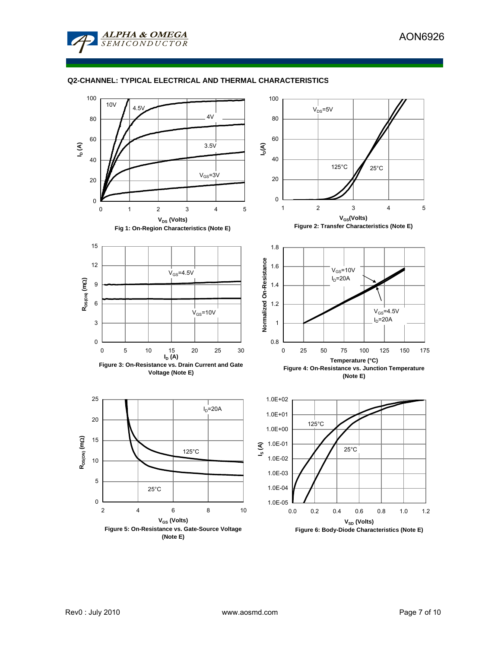

# **Q2-CHANNEL: TYPICAL ELECTRICAL AND THERMAL CHARACTERISTICS**

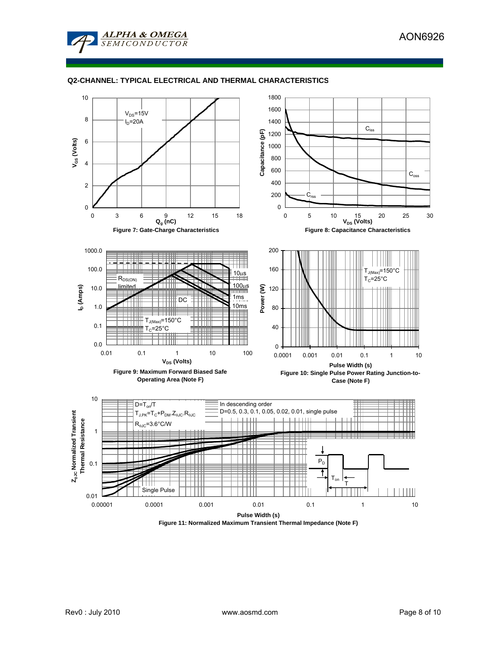



# **Q2-CHANNEL: TYPICAL ELECTRICAL AND THERMAL CHARACTERISTICS**



**Figure 11: Normalized Maximum Transient Thermal Impedance (Note F)**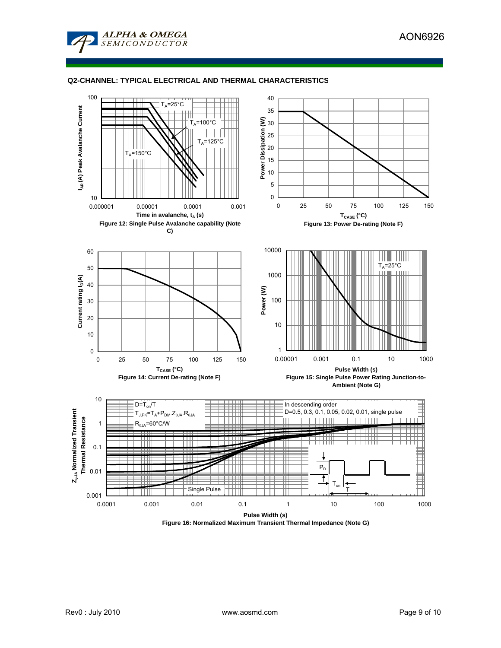

## **Q2-CHANNEL: TYPICAL ELECTRICAL AND THERMAL CHARACTERISTICS**



**Figure 16: Normalized Maximum Transient Thermal Impedance (Note G)**